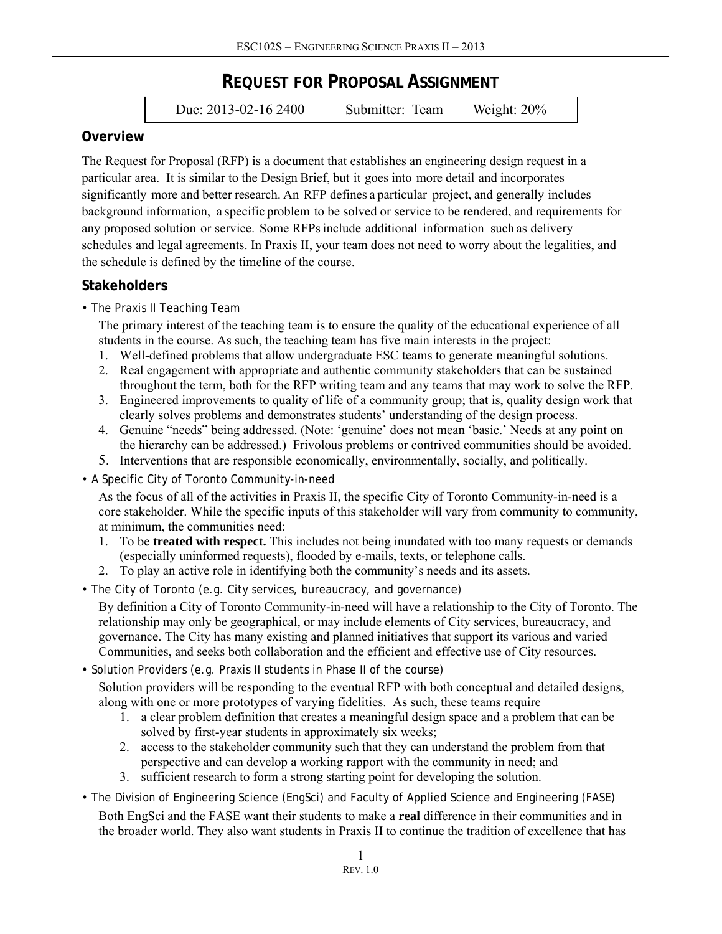# **REQUEST FOR PROPOSAL ASSIGNMENT**

Due: 2013-02-16 2400 Submitter: Team Weight: 20%

### **Overview**

The Request for Proposal (RFP) is a document that establishes an engineering design request in a particular area. It is similar to the Design Brief, but it goes into more detail and incorporates significantly more and better research. An RFP defines a particular project, and generally includes background information, a specific problem to be solved or service to be rendered, and requirements for any proposed solution or service. Some RFPs include additional information such as delivery schedules and legal agreements. In Praxis II, your team does not need to worry about the legalities, and the schedule is defined by the timeline of the course.

# **Stakeholders**

• The Praxis II Teaching Team

The primary interest of the teaching team is to ensure the quality of the educational experience of all students in the course. As such, the teaching team has five main interests in the project:

- 1. Well-defined problems that allow undergraduate ESC teams to generate meaningful solutions.
- 2. Real engagement with appropriate and authentic community stakeholders that can be sustained throughout the term, both for the RFP writing team and any teams that may work to solve the RFP.
- 3. Engineered improvements to quality of life of a community group; that is, quality design work that clearly solves problems and demonstrates students' understanding of the design process.
- 4. Genuine "needs" being addressed. (Note: 'genuine' does not mean 'basic.' Needs at any point on the hierarchy can be addressed.) Frivolous problems or contrived communities should be avoided.
- 5. Interventions that are responsible economically, environmentally, socially, and politically.
- A Specific City of Toronto Community-in-need

As the focus of all of the activities in Praxis II, the specific City of Toronto Community-in-need is a core stakeholder. While the specific inputs of this stakeholder will vary from community to community, at minimum, the communities need:

- 1. To be **treated with respect.** This includes not being inundated with too many requests or demands (especially uninformed requests), flooded by e-mails, texts, or telephone calls.
- 2. To play an active role in identifying both the community's needs and its assets.
- The City of Toronto (e.g. City services, bureaucracy, and governance)

By definition a City of Toronto Community-in-need will have a relationship to the City of Toronto. The relationship may only be geographical, or may include elements of City services, bureaucracy, and governance. The City has many existing and planned initiatives that support its various and varied Communities, and seeks both collaboration and the efficient and effective use of City resources.

• Solution Providers (e.g. Praxis II students in Phase II of the course)

Solution providers will be responding to the eventual RFP with both conceptual and detailed designs, along with one or more prototypes of varying fidelities. As such, these teams require

- 1. a clear problem definition that creates a meaningful design space and a problem that can be solved by first-year students in approximately six weeks;
- 2. access to the stakeholder community such that they can understand the problem from that perspective and can develop a working rapport with the community in need; and
- 3. sufficient research to form a strong starting point for developing the solution.
- The Division of Engineering Science (EngSci) and Faculty of Applied Science and Engineering (FASE)

Both EngSci and the FASE want their students to make a **real** difference in their communities and in the broader world. They also want students in Praxis II to continue the tradition of excellence that has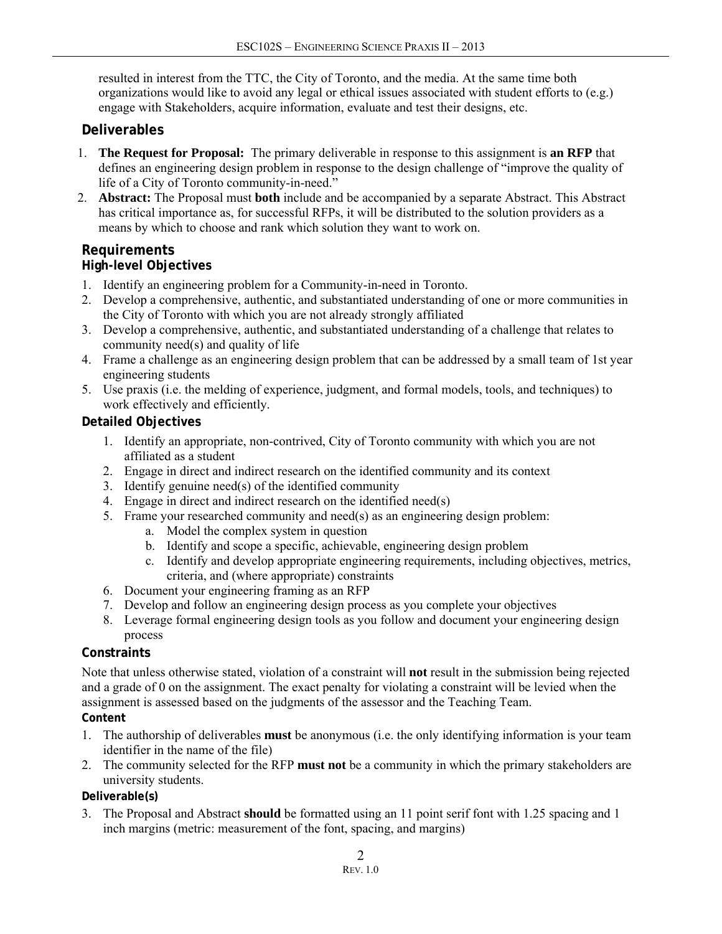resulted in interest from the TTC, the City of Toronto, and the media. At the same time both organizations would like to avoid any legal or ethical issues associated with student efforts to (e.g.) engage with Stakeholders, acquire information, evaluate and test their designs, etc.

# **Deliverables**

- 1. **The Request for Proposal:** The primary deliverable in response to this assignment is **an RFP** that defines an engineering design problem in response to the design challenge of "improve the quality of life of a City of Toronto community-in-need."
- 2. **Abstract:** The Proposal must **both** include and be accompanied by a separate Abstract. This Abstract has critical importance as, for successful RFPs, it will be distributed to the solution providers as a means by which to choose and rank which solution they want to work on.

#### **Requirements High-level Objectives**

- 1. Identify an engineering problem for a Community-in-need in Toronto.
- 2. Develop a comprehensive, authentic, and substantiated understanding of one or more communities in the City of Toronto with which you are not already strongly affiliated
- 3. Develop a comprehensive, authentic, and substantiated understanding of a challenge that relates to community need(s) and quality of life
- 4. Frame a challenge as an engineering design problem that can be addressed by a small team of 1st year engineering students
- 5. Use praxis (i.e. the melding of experience, judgment, and formal models, tools, and techniques) to work effectively and efficiently.

### **Detailed Objectives**

- 1. Identify an appropriate, non-contrived, City of Toronto community with which you are not affiliated as a student
- 2. Engage in direct and indirect research on the identified community and its context
- 3. Identify genuine need(s) of the identified community
- 4. Engage in direct and indirect research on the identified need(s)
- 5. Frame your researched community and need(s) as an engineering design problem:
	- a. Model the complex system in question
	- b. Identify and scope a specific, achievable, engineering design problem
	- c. Identify and develop appropriate engineering requirements, including objectives, metrics, criteria, and (where appropriate) constraints
- 6. Document your engineering framing as an RFP
- 7. Develop and follow an engineering design process as you complete your objectives
- 8. Leverage formal engineering design tools as you follow and document your engineering design process

# **Constraints**

Note that unless otherwise stated, violation of a constraint will **not** result in the submission being rejected and a grade of 0 on the assignment. The exact penalty for violating a constraint will be levied when the assignment is assessed based on the judgments of the assessor and the Teaching Team. **Content** 

- 1. The authorship of deliverables **must** be anonymous (i.e. the only identifying information is your team identifier in the name of the file)
- 2. The community selected for the RFP **must not** be a community in which the primary stakeholders are university students.

#### **Deliverable(s)**

3. The Proposal and Abstract **should** be formatted using an 11 point serif font with 1.25 spacing and 1 inch margins (metric: measurement of the font, spacing, and margins)